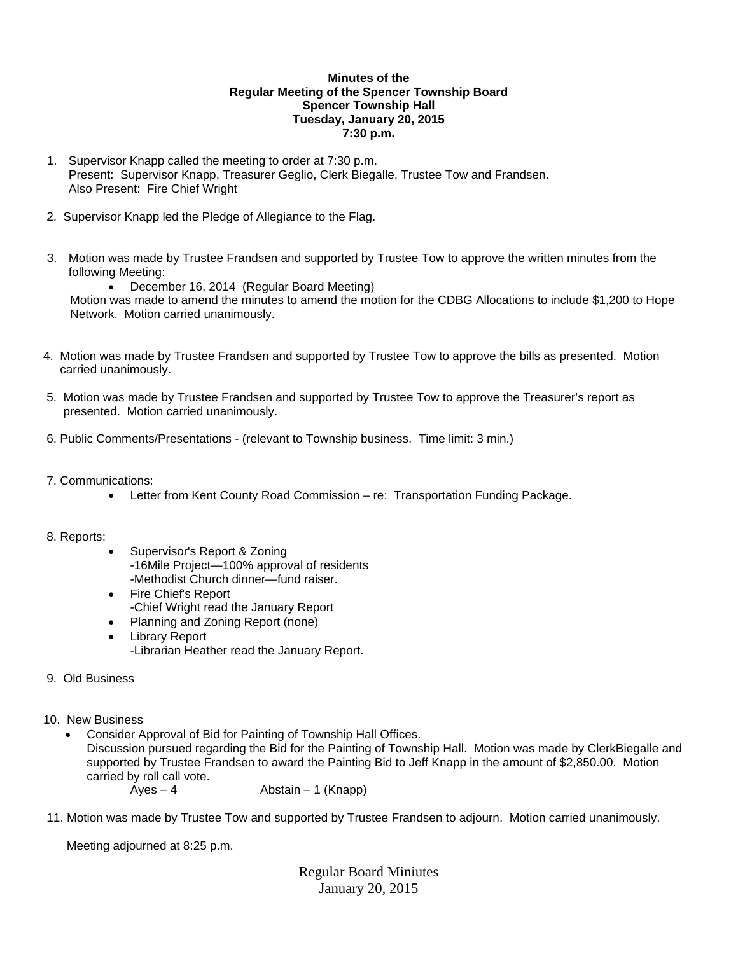## **Minutes of the Regular Meeting of the Spencer Township Board Spencer Township Hall Tuesday, January 20, 2015 7:30 p.m.**

- 1. Supervisor Knapp called the meeting to order at 7:30 p.m. Present: Supervisor Knapp, Treasurer Geglio, Clerk Biegalle, Trustee Tow and Frandsen. Also Present: Fire Chief Wright
- 2. Supervisor Knapp led the Pledge of Allegiance to the Flag.
- 3. Motion was made by Trustee Frandsen and supported by Trustee Tow to approve the written minutes from the following Meeting:

 December 16, 2014 (Regular Board Meeting) Motion was made to amend the minutes to amend the motion for the CDBG Allocations to include \$1,200 to Hope Network. Motion carried unanimously.

- 4. Motion was made by Trustee Frandsen and supported by Trustee Tow to approve the bills as presented. Motion carried unanimously.
- 5. Motion was made by Trustee Frandsen and supported by Trustee Tow to approve the Treasurer's report as presented. Motion carried unanimously.
- 6. Public Comments/Presentations (relevant to Township business. Time limit: 3 min.)
- 7. Communications:
	- Letter from Kent County Road Commission re: Transportation Funding Package.

## 8. Reports:

- Supervisor's Report & Zoning -16Mile Project—100% approval of residents -Methodist Church dinner—fund raiser.
- Fire Chief's Report -Chief Wright read the January Report
- Planning and Zoning Report (none)
- Library Report -Librarian Heather read the January Report.
- 9. Old Business
- 10. New Business
	- Consider Approval of Bid for Painting of Township Hall Offices.

Discussion pursued regarding the Bid for the Painting of Township Hall. Motion was made by ClerkBiegalle and supported by Trustee Frandsen to award the Painting Bid to Jeff Knapp in the amount of \$2,850.00. Motion carried by roll call vote.

- $Ayes 4$  Abstain 1 (Knapp)
- 11. Motion was made by Trustee Tow and supported by Trustee Frandsen to adjourn. Motion carried unanimously.

Meeting adjourned at 8:25 p.m.

Regular Board Miniutes January 20, 2015